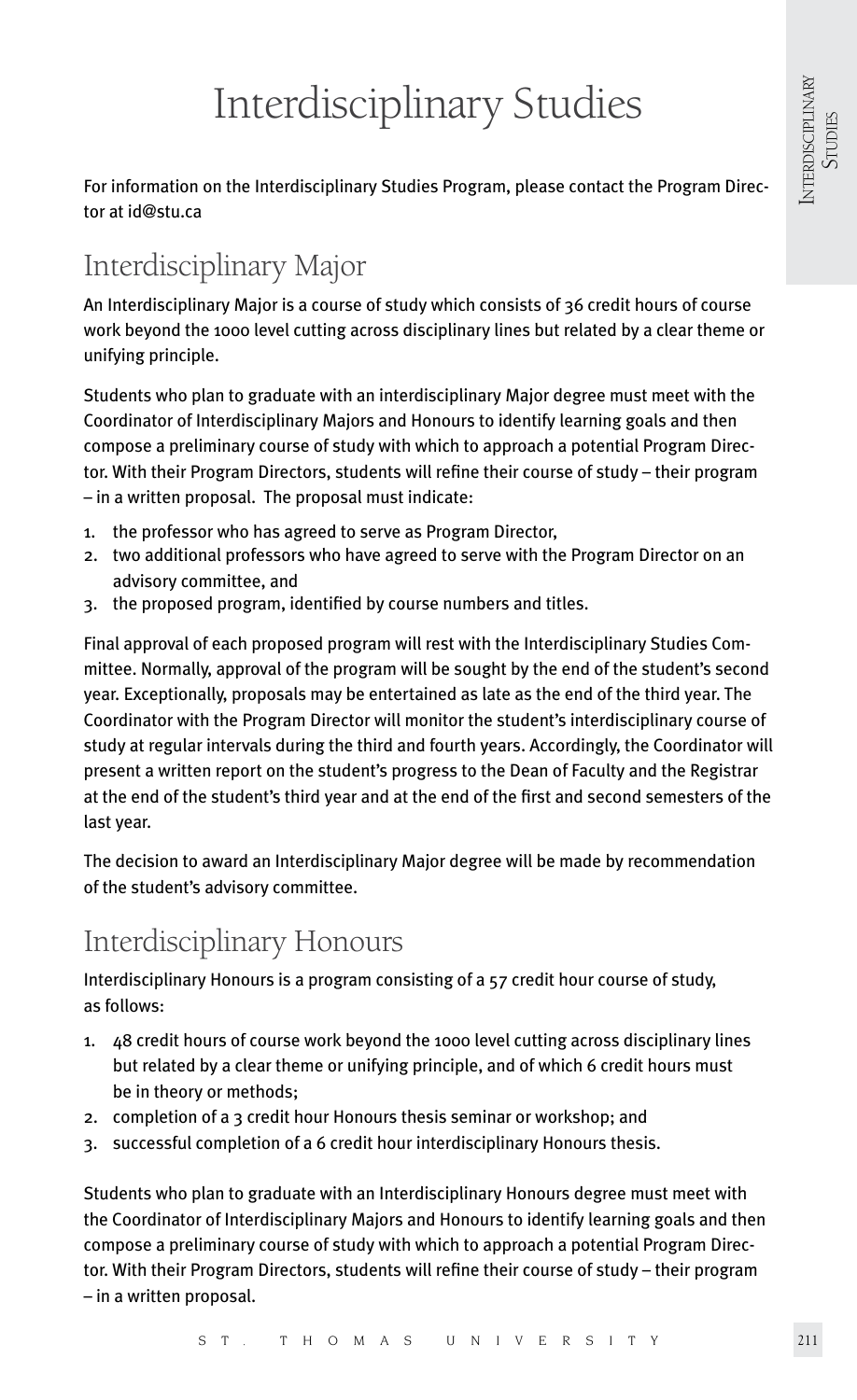# Interdisciplinary Studies

For information on the Interdisciplinary Studies Program, please contact the Program Director at id@stu.ca

# Interdisciplinary Major

An Interdisciplinary Major is a course of study which consists of 36 credit hours of course work beyond the 1000 level cutting across disciplinary lines but related by a clear theme or unifying principle.

Students who plan to graduate with an interdisciplinary Major degree must meet with the Coordinator of Interdisciplinary Majors and Honours to identify learning goals and then compose a preliminary course of study with which to approach a potential Program Director. With their Program Directors, students will refine their course of study – their program – in a written proposal. The proposal must indicate:

- 1. the professor who has agreed to serve as Program Director,
- 2. two additional professors who have agreed to serve with the Program Director on an advisory committee, and
- 3. the proposed program, identified by course numbers and titles.

Final approval of each proposed program will rest with the Interdisciplinary Studies Committee. Normally, approval of the program will be sought by the end of the student's second year. Exceptionally, proposals may be entertained as late as the end of the third year. The Coordinator with the Program Director will monitor the student's interdisciplinary course of study at regular intervals during the third and fourth years. Accordingly, the Coordinator will present a written report on the student's progress to the Dean of Faculty and the Registrar at the end of the student's third year and at the end of the first and second semesters of the last year.

The decision to award an Interdisciplinary Major degree will be made by recommendation of the student's advisory committee.

# Interdisciplinary Honours

Interdisciplinary Honours is a program consisting of a 57 credit hour course of study, as follows:

- 1. 48 credit hours of course work beyond the 1000 level cutting across disciplinary lines but related by a clear theme or unifying principle, and of which 6 credit hours must be in theory or methods;
- 2. completion of a 3 credit hour Honours thesis seminar or workshop; and
- 3. successful completion of a 6 credit hour interdisciplinary Honours thesis.

Students who plan to graduate with an Interdisciplinary Honours degree must meet with the Coordinator of Interdisciplinary Majors and Honours to identify learning goals and then compose a preliminary course of study with which to approach a potential Program Director. With their Program Directors, students will refine their course of study – their program – in a written proposal.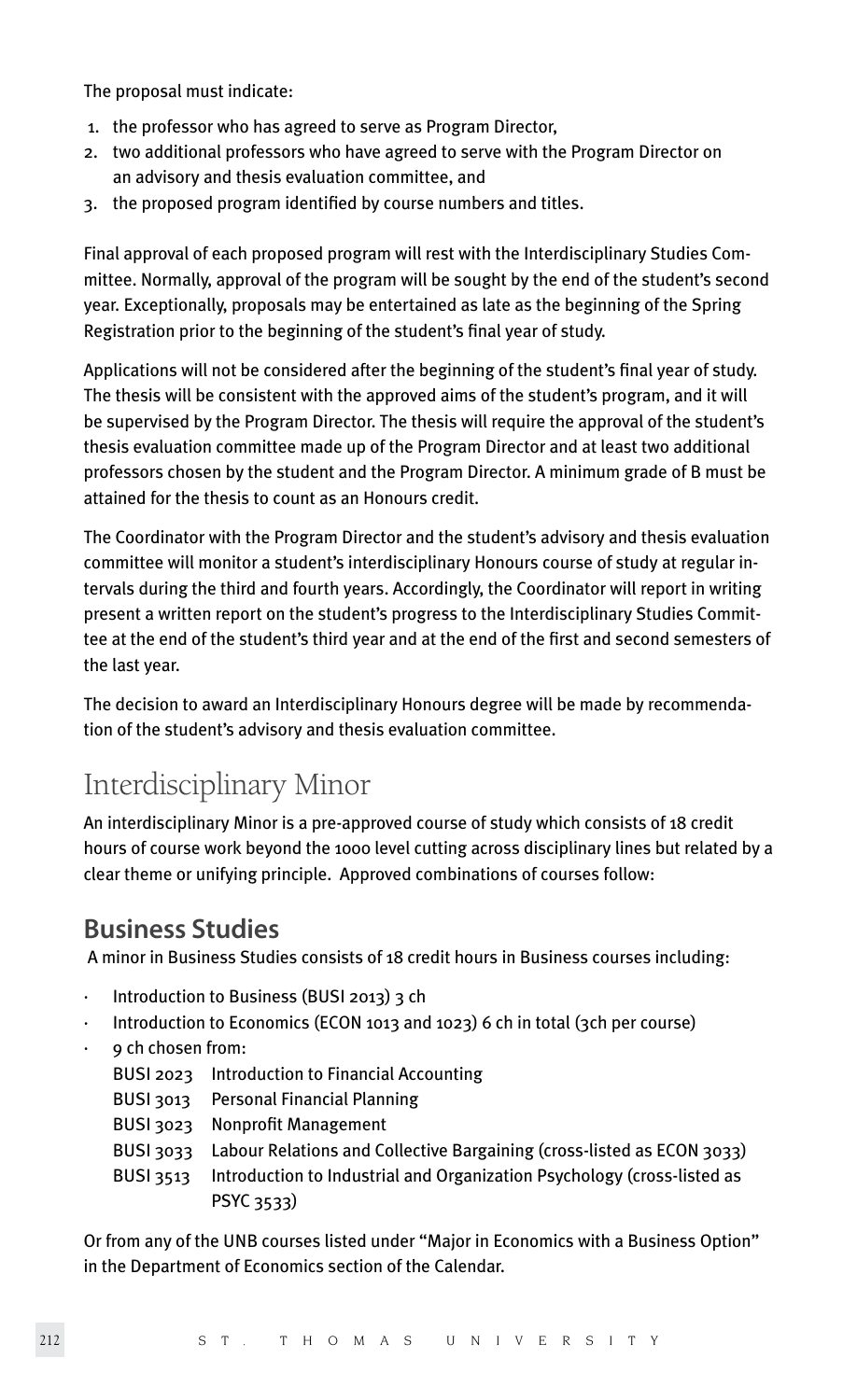The proposal must indicate:

- 1. the professor who has agreed to serve as Program Director,
- 2. two additional professors who have agreed to serve with the Program Director on an advisory and thesis evaluation committee, and
- 3. the proposed program identified by course numbers and titles.

Final approval of each proposed program will rest with the Interdisciplinary Studies Committee. Normally, approval of the program will be sought by the end of the student's second year. Exceptionally, proposals may be entertained as late as the beginning of the Spring Registration prior to the beginning of the student's final year of study.

Applications will not be considered after the beginning of the student's final year of study. The thesis will be consistent with the approved aims of the student's program, and it will be supervised by the Program Director. The thesis will require the approval of the student's thesis evaluation committee made up of the Program Director and at least two additional professors chosen by the student and the Program Director. A minimum grade of B must be attained for the thesis to count as an Honours credit.

The Coordinator with the Program Director and the student's advisory and thesis evaluation committee will monitor a student's interdisciplinary Honours course of study at regular intervals during the third and fourth years. Accordingly, the Coordinator will report in writing present a written report on the student's progress to the Interdisciplinary Studies Committee at the end of the student's third year and at the end of the first and second semesters of the last year.

The decision to award an Interdisciplinary Honours degree will be made by recommendation of the student's advisory and thesis evaluation committee.

## Interdisciplinary Minor

An interdisciplinary Minor is a pre-approved course of study which consists of 18 credit hours of course work beyond the 1000 level cutting across disciplinary lines but related by a clear theme or unifying principle. Approved combinations of courses follow:

### **Business Studies**

A minor in Business Studies consists of 18 credit hours in Business courses including:

- · Introduction to Business (BUSI 2013) 3 ch
- · Introduction to Economics (ECON 1013 and 1023) 6 ch in total (3ch per course)
- · 9 ch chosen from:

| BUSI 2023 Introduction to Financial Accounting                                   |
|----------------------------------------------------------------------------------|
| BUSI 3013 Personal Financial Planning                                            |
| BUSI 3023 Nonprofit Management                                                   |
| BUSI 3033 Labour Relations and Collective Bargaining (cross-listed as ECON 3033) |
| Introduction to Industrial and Organization Psychology (cross-listed as          |
| PSYC 3533)                                                                       |
|                                                                                  |

Or from any of the UNB courses listed under "Major in Economics with a Business Option" in the Department of Economics section of the Calendar.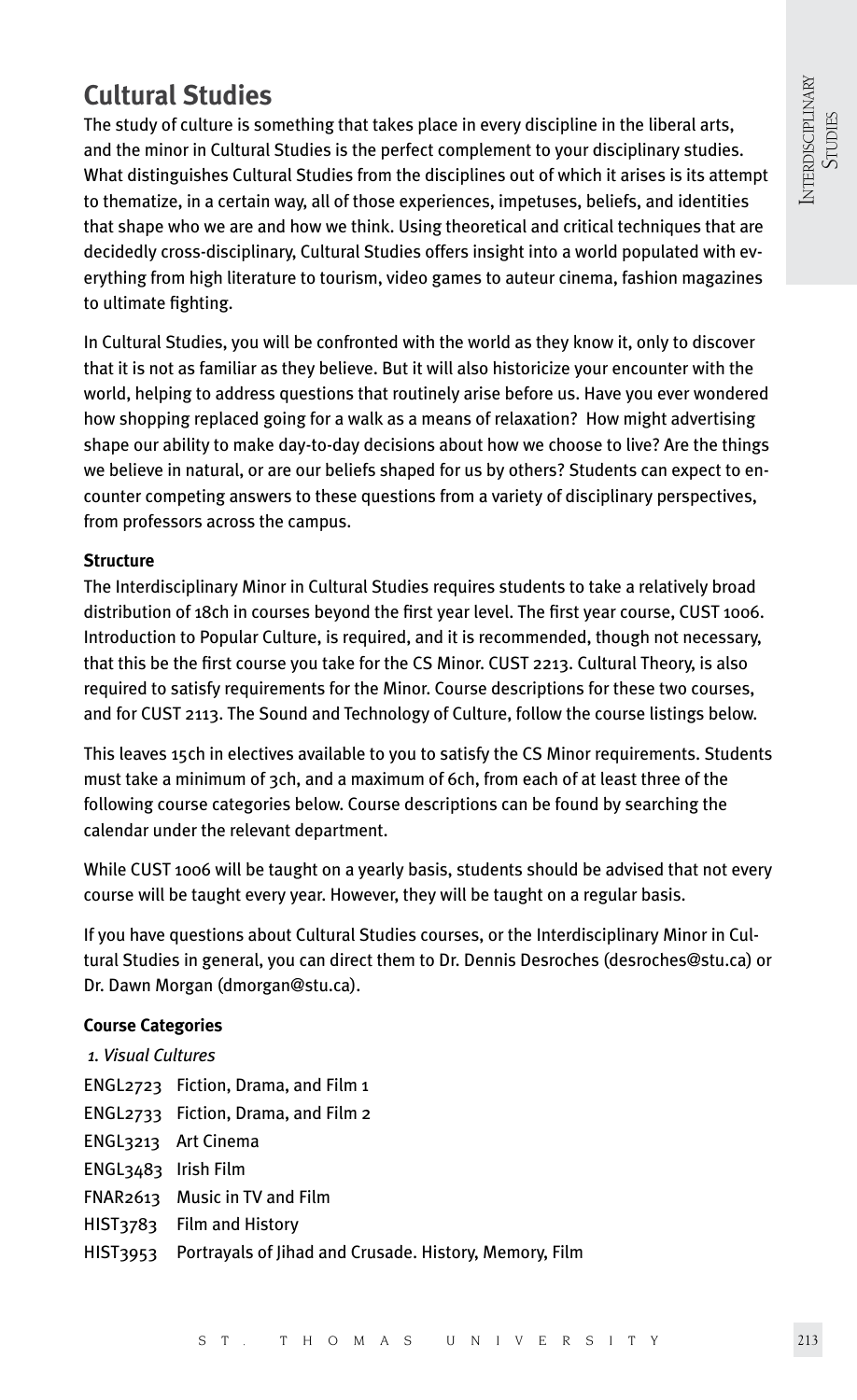### **Cultural Studies**

The study of culture is something that takes place in every discipline in the liberal arts, and the minor in Cultural Studies is the perfect complement to your disciplinary studies. What distinguishes Cultural Studies from the disciplines out of which it arises is its attempt to thematize, in a certain way, all of those experiences, impetuses, beliefs, and identities that shape who we are and how we think. Using theoretical and critical techniques that are decidedly cross-disciplinary, Cultural Studies offers insight into a world populated with everything from high literature to tourism, video games to auteur cinema, fashion magazines to ultimate fighting.

In Cultural Studies, you will be confronted with the world as they know it, only to discover that it is not as familiar as they believe. But it will also historicize your encounter with the world, helping to address questions that routinely arise before us. Have you ever wondered how shopping replaced going for a walk as a means of relaxation? How might advertising shape our ability to make day-to-day decisions about how we choose to live? Are the things we believe in natural, or are our beliefs shaped for us by others? Students can expect to encounter competing answers to these questions from a variety of disciplinary perspectives, from professors across the campus.

#### **Structure**

The Interdisciplinary Minor in Cultural Studies requires students to take a relatively broad distribution of 18ch in courses beyond the first year level. The first year course, CUST 1006. Introduction to Popular Culture, is required, and it is recommended, though not necessary, that this be the first course you take for the CS Minor. CUST 2213. Cultural Theory, is also required to satisfy requirements for the Minor. Course descriptions for these two courses, and for CUST 2113. The Sound and Technology of Culture, follow the course listings below.

This leaves 15ch in electives available to you to satisfy the CS Minor requirements. Students must take a minimum of 3ch, and a maximum of 6ch, from each of at least three of the following course categories below. Course descriptions can be found by searching the calendar under the relevant department.

While CUST 1006 will be taught on a yearly basis, students should be advised that not every course will be taught every year. However, they will be taught on a regular basis.

If you have questions about Cultural Studies courses, or the Interdisciplinary Minor in Cultural Studies in general, you can direct them to Dr. Dennis Desroches (desroches@stu.ca) or Dr. Dawn Morgan (dmorgan@stu.ca).

#### **Course Categories**

| 1. Visual Cultures  |                                                                 |  |  |  |
|---------------------|-----------------------------------------------------------------|--|--|--|
|                     | ENGL2723 Fiction, Drama, and Film 1                             |  |  |  |
|                     | ENGL2733 Fiction, Drama, and Film 2                             |  |  |  |
|                     | ENGL3213 Art Cinema                                             |  |  |  |
| ENGL3483 Irish Film |                                                                 |  |  |  |
|                     | FNAR2613 Music in TV and Film                                   |  |  |  |
|                     | HIST3783 Film and History                                       |  |  |  |
|                     | HIST3953 Portrayals of Jihad and Crusade. History, Memory, Film |  |  |  |
|                     |                                                                 |  |  |  |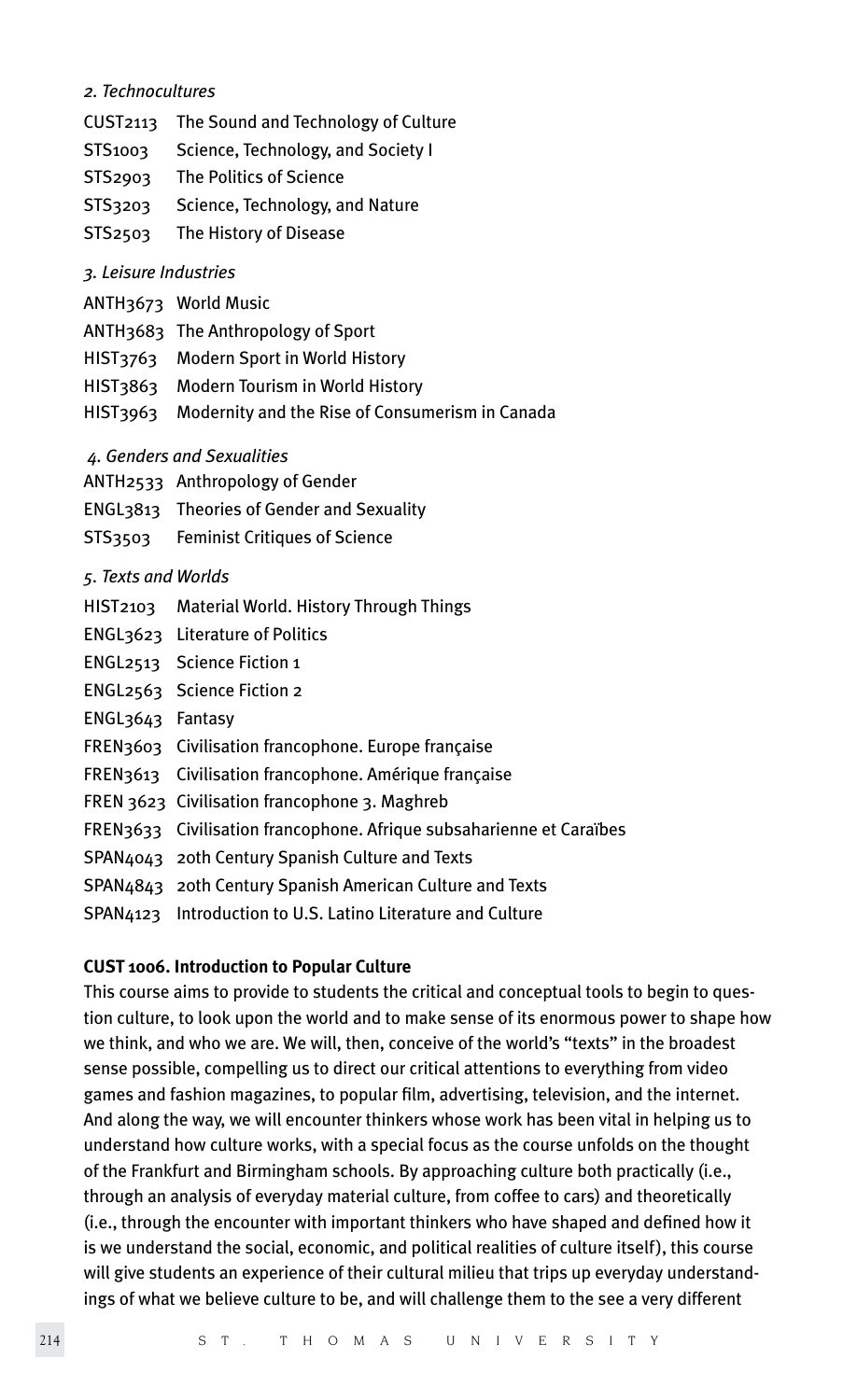#### *2. Technocultures*

- CUST2113 The Sound and Technology of Culture
- STS1003 Science, Technology, and Society I
- STS2903 The Politics of Science
- STS3203 Science, Technology, and Nature
- STS2503 The History of Disease

#### *3. Leisure Industries*

- ANTH3673 World Music
- ANTH3683 The Anthropology of Sport
- HIST3763 Modern Sport in World History
- HIST3863 Modern Tourism in World History
- HIST3963 Modernity and the Rise of Consumerism in Canada
- *4. Genders and Sexualities*
- ANTH2533 Anthropology of Gender
- ENGL3813 Theories of Gender and Sexuality
- STS3503 Feminist Critiques of Science

#### *5. Texts and Worlds*

- HIST2103 Material World. History Through Things
- ENGL3623 Literature of Politics
- ENGL2513 Science Fiction 1
- ENGL2563 Science Fiction 2
- ENGL3643 Fantasy
- FREN3603 Civilisation francophone. Europe française
- FREN3613 Civilisation francophone. Amérique française
- FREN 3623 Civilisation francophone 3. Maghreb
- FREN3633 Civilisation francophone. Afrique subsaharienne et Caraïbes
- SPAN4043 20th Century Spanish Culture and Texts
- SPAN4843 20th Century Spanish American Culture and Texts
- SPAN4123 Introduction to U.S. Latino Literature and Culture

#### **CUST 1006. Introduction to Popular Culture**

This course aims to provide to students the critical and conceptual tools to begin to question culture, to look upon the world and to make sense of its enormous power to shape how we think, and who we are. We will, then, conceive of the world's "texts" in the broadest sense possible, compelling us to direct our critical attentions to everything from video games and fashion magazines, to popular film, advertising, television, and the internet. And along the way, we will encounter thinkers whose work has been vital in helping us to understand how culture works, with a special focus as the course unfolds on the thought of the Frankfurt and Birmingham schools. By approaching culture both practically (i.e., through an analysis of everyday material culture, from coffee to cars) and theoretically (i.e., through the encounter with important thinkers who have shaped and defined how it is we understand the social, economic, and political realities of culture itself), this course will give students an experience of their cultural milieu that trips up everyday understandings of what we believe culture to be, and will challenge them to the see a very different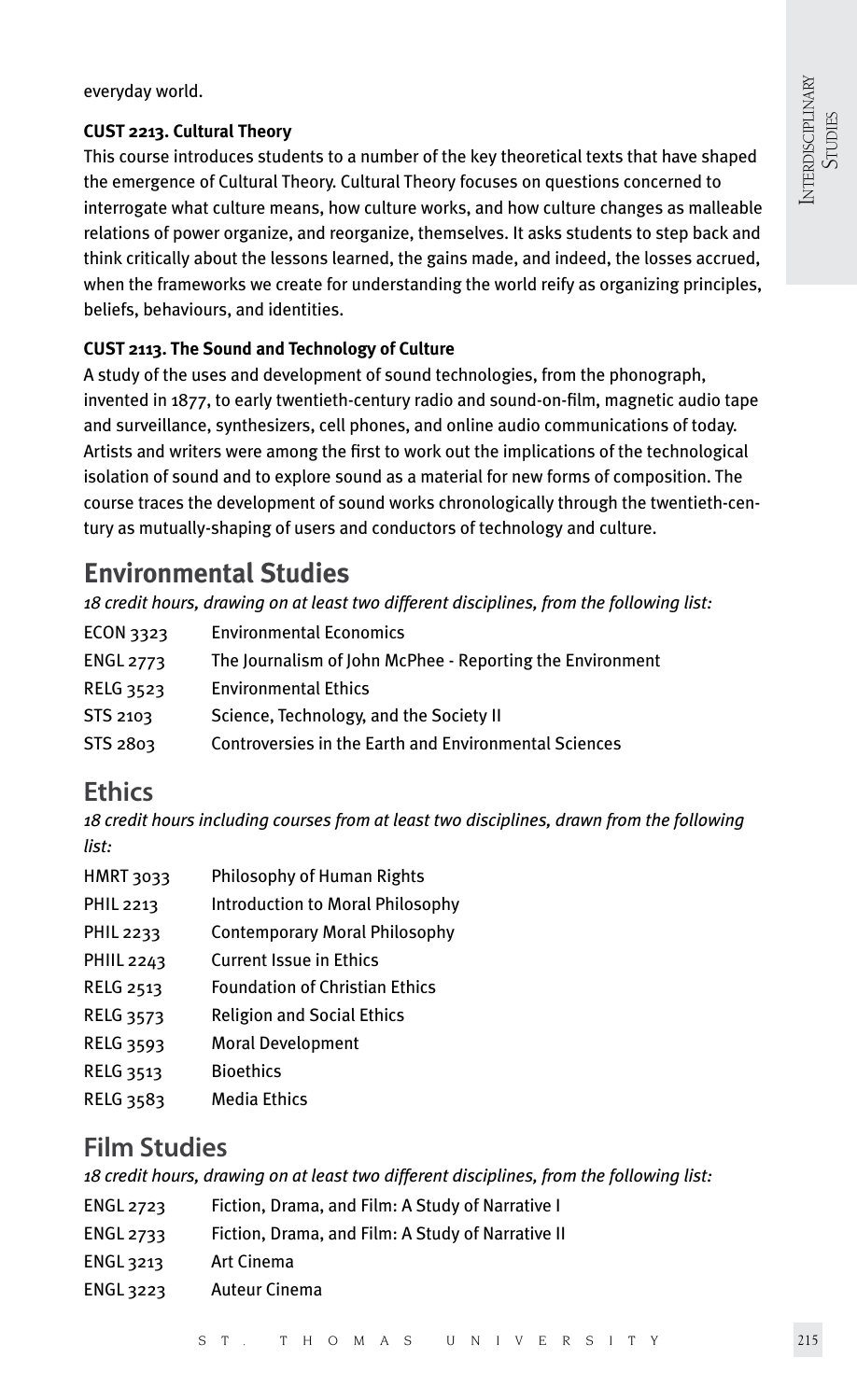everyday world.

#### **CUST 2213. Cultural Theory**

This course introduces students to a number of the key theoretical texts that have shaped the emergence of Cultural Theory. Cultural Theory focuses on questions concerned to interrogate what culture means, how culture works, and how culture changes as malleable relations of power organize, and reorganize, themselves. It asks students to step back and think critically about the lessons learned, the gains made, and indeed, the losses accrued, when the frameworks we create for understanding the world reify as organizing principles, beliefs, behaviours, and identities.

### **CUST 2113. The Sound and Technology of Culture**

A study of the uses and development of sound technologies, from the phonograph, invented in 1877, to early twentieth-century radio and sound-on-film, magnetic audio tape and surveillance, synthesizers, cell phones, and online audio communications of today. Artists and writers were among the first to work out the implications of the technological isolation of sound and to explore sound as a material for new forms of composition. The course traces the development of sound works chronologically through the twentieth-century as mutually-shaping of users and conductors of technology and culture.

### **Environmental Studies**

*18 credit hours, drawing on at least two different disciplines, from the following list:*

| ECON 3323        | <b>Environmental Economics</b>                            |
|------------------|-----------------------------------------------------------|
| <b>ENGL 2773</b> | The Journalism of John McPhee - Reporting the Environment |
| <b>RELG 3523</b> | <b>Environmental Ethics</b>                               |
| STS 2103         | Science, Technology, and the Society II                   |
| STS 2803         | Controversies in the Earth and Environmental Sciences     |
|                  |                                                           |

### **Ethics**

*18 credit hours including courses from at least two disciplines, drawn from the following list:*

| HMRT 3033       | Philosophy of Human Rights              |
|-----------------|-----------------------------------------|
| PHIL 2213       | <b>Introduction to Moral Philosophy</b> |
| PHIL 2233       | Contemporary Moral Philosophy           |
| $D$ HIII $2262$ | Curront Iccup in Ethicc                 |

- PHIIL 2243 Current Issue in Ethics
- RELG 2513 Foundation of Christian Ethics
- RELG 3573 Religion and Social Ethics
- RELG 3593 Moral Development
- RELG 3513 Bioethics
- RELG 3583 Media Ethics

### **Film Studies**

*18 credit hours, drawing on at least two different disciplines, from the following list:*

- ENGL 2723 Fiction, Drama, and Film: A Study of Narrative I
- ENGL 2733 Fiction, Drama, and Film: A Study of Narrative II
- ENGL 3213 Art Cinema
- ENGL 3223 Auteur Cinema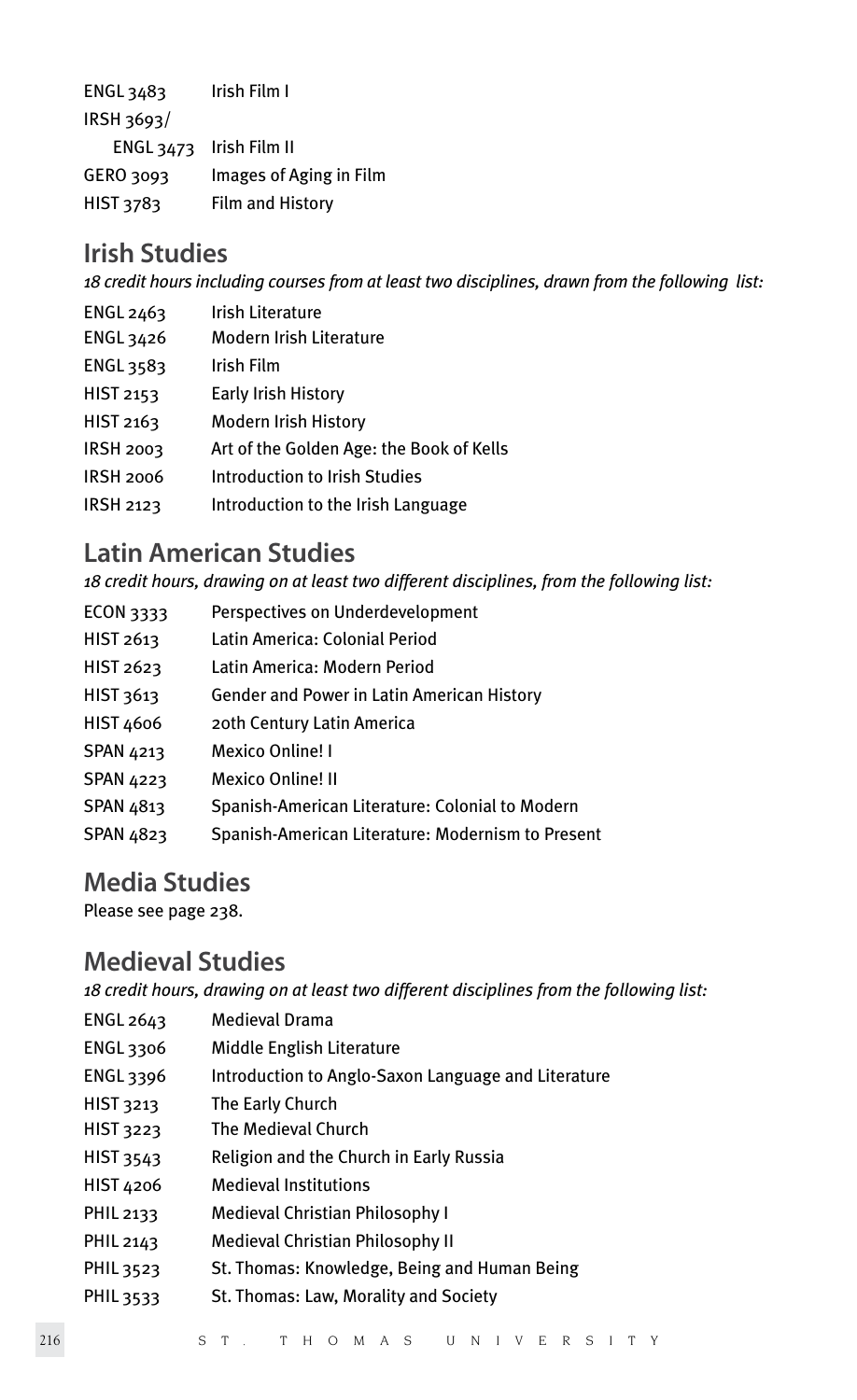ENGL 3483 Irish Film I IRSH 3693/ ENGL 3473 Irish Film II GERO 3093 Images of Aging in Film HIST 3783 Film and History

### **Irish Studies**

*18 credit hours including courses from at least two disciplines, drawn from the following list:*

- ENGL 2463 Irish Literature ENGL 3426 Modern Irish Literature ENGL 3583 Irish Film HIST 2153 Early Irish History HIST 2163 Modern Irish History IRSH 2003 Art of the Golden Age: the Book of Kells
- IRSH 2006 Introduction to Irish Studies
- IRSH 2123 Introduction to the Irish Language

### **Latin American Studies**

*18 credit hours, drawing on at least two different disciplines, from the following list:*

ECON 3333 Perspectives on Underdevelopment HIST 2613 Latin America: Colonial Period HIST 2623 Latin America: Modern Period HIST 3613 Gender and Power in Latin American History HIST 4606 20th Century Latin America SPAN 4213 Mexico Online! I SPAN 4223 Mexico Online! II SPAN 4813 Spanish-American Literature: Colonial to Modern SPAN 4823 Spanish-American Literature: Modernism to Present

### **Media Studies**

Please see page 238.

### **Medieval Studies**

*18 credit hours, drawing on at least two different disciplines from the following list:*

| ENGL 2643 | <b>Medieval Drama</b>                               |
|-----------|-----------------------------------------------------|
| ENGL 3306 | Middle English Literature                           |
| ENGL 3396 | Introduction to Anglo-Saxon Language and Literature |
| HIST 3213 | The Early Church                                    |
| HIST 3223 | The Medieval Church                                 |
| HIST 3543 | Religion and the Church in Early Russia             |
| HIST 4206 | <b>Medieval Institutions</b>                        |
| PHIL 2133 | Medieval Christian Philosophy I                     |
| PHIL 2143 | Medieval Christian Philosophy II                    |
| PHIL 3523 | St. Thomas: Knowledge, Being and Human Being        |
| PHIL 3533 | St. Thomas: Law, Morality and Society               |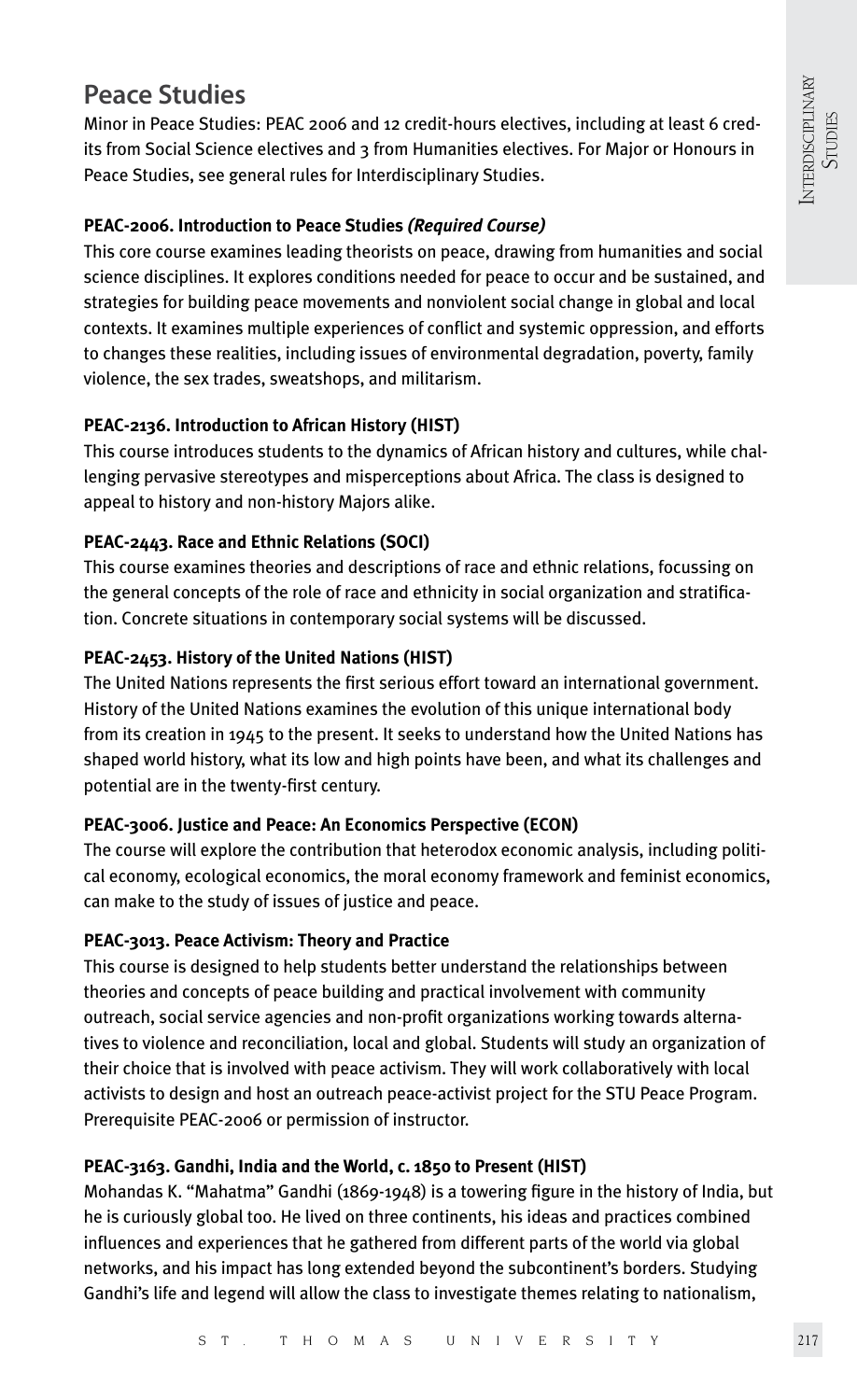### **Peace Studies**

Minor in Peace Studies: PEAC 2006 and 12 credit-hours electives, including at least 6 credits from Social Science electives and 3 from Humanities electives. For Major or Honours in Peace Studies, see general rules for Interdisciplinary Studies.

### **PEAC-2006. Introduction to Peace Studies** *(Required Course)*

This core course examines leading theorists on peace, drawing from humanities and social science disciplines. It explores conditions needed for peace to occur and be sustained, and strategies for building peace movements and nonviolent social change in global and local contexts. It examines multiple experiences of conflict and systemic oppression, and efforts to changes these realities, including issues of environmental degradation, poverty, family violence, the sex trades, sweatshops, and militarism.

### **PEAC-2136. Introduction to African History (HIST)**

This course introduces students to the dynamics of African history and cultures, while challenging pervasive stereotypes and misperceptions about Africa. The class is designed to appeal to history and non-history Majors alike.

### **PEAC-2443. Race and Ethnic Relations (SOCI)**

This course examines theories and descriptions of race and ethnic relations, focussing on the general concepts of the role of race and ethnicity in social organization and stratification. Concrete situations in contemporary social systems will be discussed.

### **PEAC-2453. History of the United Nations (HIST)**

The United Nations represents the first serious effort toward an international government. History of the United Nations examines the evolution of this unique international body from its creation in 1945 to the present. It seeks to understand how the United Nations has shaped world history, what its low and high points have been, and what its challenges and potential are in the twenty-first century.

### **PEAC-3006. Justice and Peace: An Economics Perspective (ECON)**

The course will explore the contribution that heterodox economic analysis, including political economy, ecological economics, the moral economy framework and feminist economics, can make to the study of issues of justice and peace.

### **PEAC-3013. Peace Activism: Theory and Practice**

This course is designed to help students better understand the relationships between theories and concepts of peace building and practical involvement with community outreach, social service agencies and non-profit organizations working towards alternatives to violence and reconciliation, local and global. Students will study an organization of their choice that is involved with peace activism. They will work collaboratively with local activists to design and host an outreach peace-activist project for the STU Peace Program. Prerequisite PEAC-2006 or permission of instructor.

### **PEAC-3163. Gandhi, India and the World, c. 1850 to Present (HIST)**

Mohandas K. "Mahatma" Gandhi (1869-1948) is a towering figure in the history of India, but he is curiously global too. He lived on three continents, his ideas and practices combined influences and experiences that he gathered from different parts of the world via global networks, and his impact has long extended beyond the subcontinent's borders. Studying Gandhi's life and legend will allow the class to investigate themes relating to nationalism,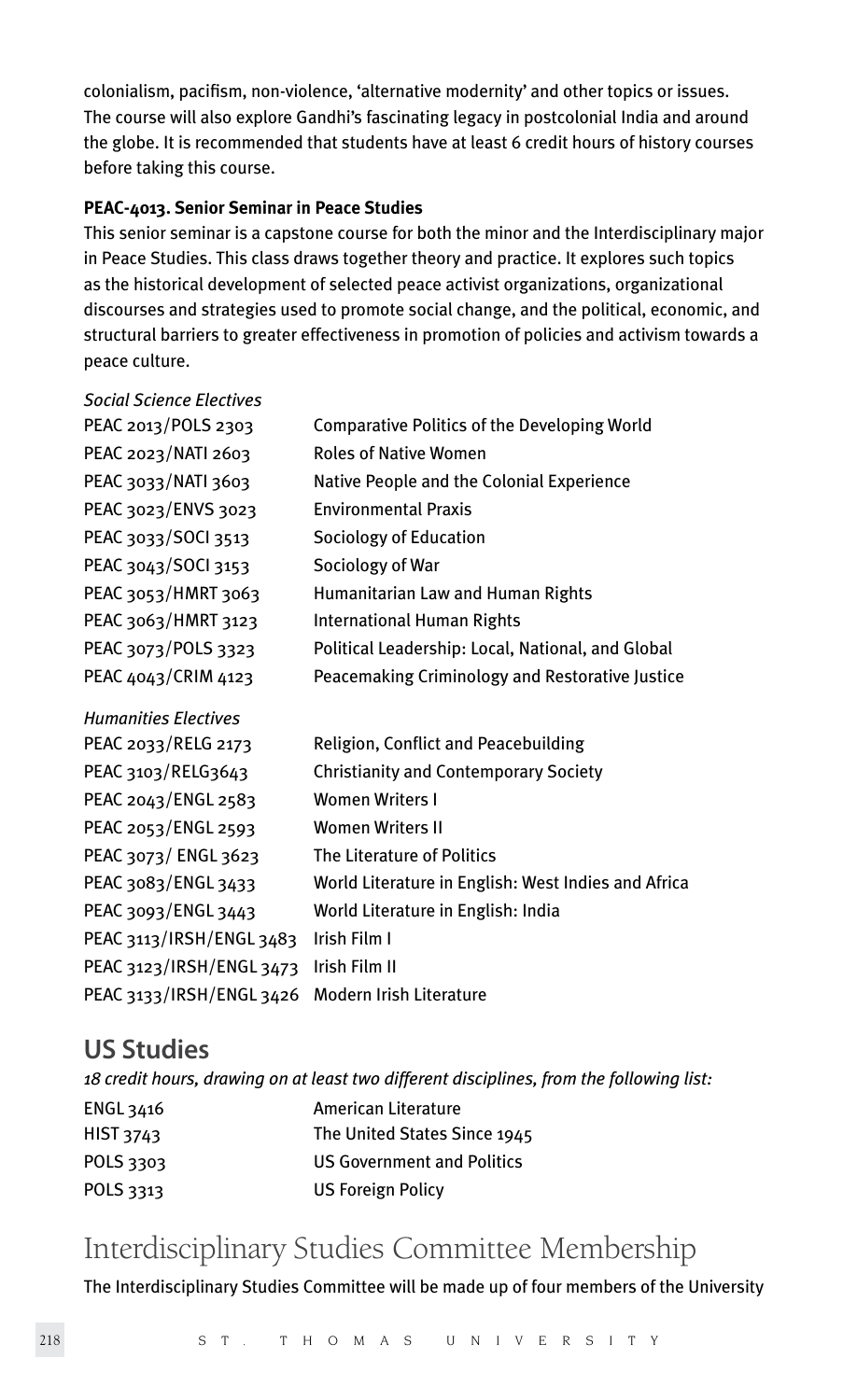colonialism, pacifism, non-violence, 'alternative modernity' and other topics or issues. The course will also explore Gandhi's fascinating legacy in postcolonial India and around the globe. It is recommended that students have at least 6 credit hours of history courses before taking this course.

#### **PEAC-4013. Senior Seminar in Peace Studies**

This senior seminar is a capstone course for both the minor and the Interdisciplinary major in Peace Studies. This class draws together theory and practice. It explores such topics as the historical development of selected peace activist organizations, organizational discourses and strategies used to promote social change, and the political, economic, and structural barriers to greater effectiveness in promotion of policies and activism towards a peace culture.

| <b>Social Science Electives</b> |                                                     |
|---------------------------------|-----------------------------------------------------|
| PEAC 2013/POLS 2303             | Comparative Politics of the Developing World        |
| PEAC 2023/NATI 2603             | <b>Roles of Native Women</b>                        |
| PEAC 3033/NATI 3603             | Native People and the Colonial Experience           |
| PEAC 3023/ENVS 3023             | <b>Environmental Praxis</b>                         |
| PEAC 3033/SOCI 3513             | Sociology of Education                              |
| PEAC 3043/SOCI 3153             | Sociology of War                                    |
| PEAC 3053/HMRT 3063             | Humanitarian Law and Human Rights                   |
| PEAC 3063/HMRT 3123             | <b>International Human Rights</b>                   |
| PEAC 3073/POLS 3323             | Political Leadership: Local, National, and Global   |
| PEAC 4043/CRIM 4123             | Peacemaking Criminology and Restorative Justice     |
| <b>Humanities Electives</b>     |                                                     |
| PEAC 2033/RELG 2173             | Religion, Conflict and Peacebuilding                |
| PEAC 3103/RELG3643              | <b>Christianity and Contemporary Society</b>        |
| PEAC 2043/ENGL 2583             | <b>Women Writers I</b>                              |
| PEAC 2053/ENGL 2593             | <b>Women Writers II</b>                             |
| PEAC 3073/ ENGL 3623            | The Literature of Politics                          |
| PEAC 3083/ENGL 3433             | World Literature in English: West Indies and Africa |
| PEAC 3093/ENGL 3443             | World Literature in English: India                  |
| PEAC 3113/IRSH/ENGL 3483        | Irish Film I                                        |
|                                 |                                                     |
| PEAC 3123/IRSH/ENGL 3473        | Irish Film II                                       |

### **US Studies**

|                  | 18 credit hours, drawing on at least two different disciplines, from the following list: |
|------------------|------------------------------------------------------------------------------------------|
| ENGL 3416        | American Literature                                                                      |
| <b>HIST 3743</b> | The United States Since 1945                                                             |
| POLS 3303        | <b>US Government and Politics</b>                                                        |
| POLS 3313        | <b>US Foreign Policy</b>                                                                 |
|                  |                                                                                          |

### Interdisciplinary Studies Committee Membership

The Interdisciplinary Studies Committee will be made up of four members of the University